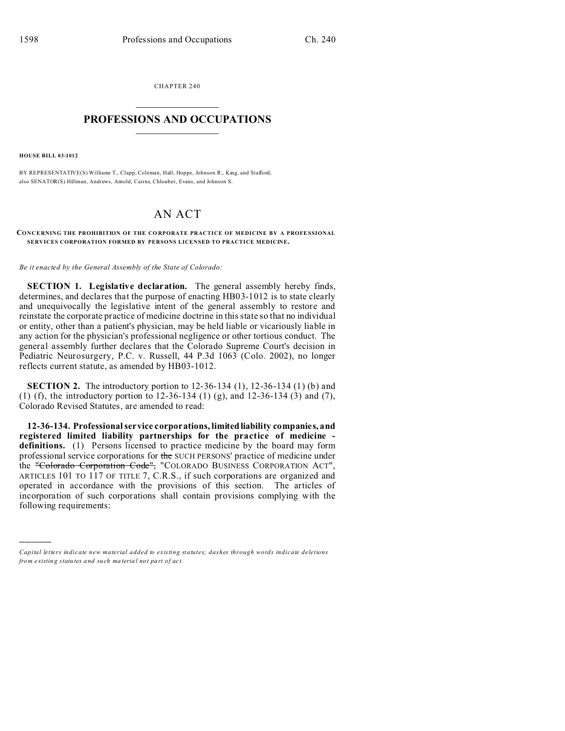CHAPTER 240  $\overline{\phantom{a}}$  , where  $\overline{\phantom{a}}$ 

## **PROFESSIONS AND OCCUPATIONS**  $\frac{1}{2}$  ,  $\frac{1}{2}$  ,  $\frac{1}{2}$  ,  $\frac{1}{2}$  ,  $\frac{1}{2}$  ,  $\frac{1}{2}$  ,  $\frac{1}{2}$

**HOUSE BILL 03-1012**

)))))

BY REPRESENTATIVE(S) Williams T., Clapp, Coleman, Hall, Hoppe, Johnson R., King, and Stafford; also SENATOR(S) Hillman, Andrews, Arnold, Cairns, Chlouber, Evans, and Johnson S.

## AN ACT

## **CONCE RNING THE PROHIBITION OF THE CO RPORATE PRACTICE OF MEDICINE BY A PROFE SSIONAL SERVICES CORPORATION FORMED BY PERSONS LICENSED TO PRACTICE MEDICINE.**

*Be it enacted by the General Assembly of the State of Colorado:*

**SECTION 1. Legislative declaration.** The general assembly hereby finds, determines, and declares that the purpose of enacting HB03-1012 is to state clearly and unequivocally the legislative intent of the general assembly to restore and reinstate the corporate practice of medicine doctrine in this state so that no individual or entity, other than a patient's physician, may be held liable or vicariously liable in any action for the physician's professional negligence or other tortious conduct. The general assembly further declares that the Colorado Supreme Court's decision in Pediatric Neurosurgery, P.C. v. Russell, 44 P.3d 1063 (Colo. 2002), no longer reflects current statute, as amended by HB03-1012.

**SECTION 2.** The introductory portion to 12-36-134 (1), 12-36-134 (1) (b) and (1) (f), the introductory portion to 12-36-134 (1) (g), and 12-36-134 (3) and (7), Colorado Revised Statutes, are amended to read:

**12-36-134. Professional service corporations, limitedliability companies, and registered limited liability partnerships for the practice of medicine definitions.** (1) Persons licensed to practice medicine by the board may form professional service corporations for the SUCH PERSONS' practice of medicine under the "Colorado Corporation Code", "COLORADO BUSINESS CORPORATION ACT", ARTICLES 101 TO 117 OF TITLE 7, C.R.S., if such corporations are organized and operated in accordance with the provisions of this section. The articles of incorporation of such corporations shall contain provisions complying with the following requirements:

*Capital letters indicate new material added to existing statutes; dashes through words indicate deletions from e xistin g statu tes a nd such ma teria l no t pa rt of ac t.*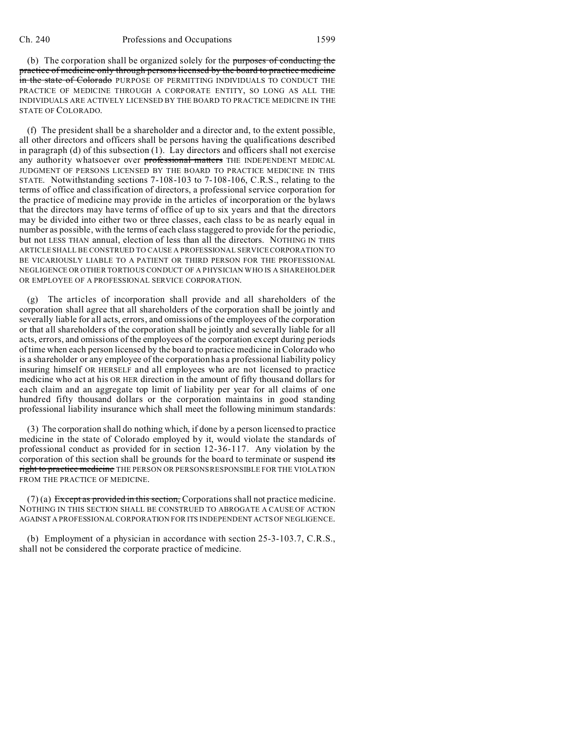(b) The corporation shall be organized solely for the purposes of conducting the practice of medicine only through persons licensed by the board to practice medicine in the state of Colorado PURPOSE OF PERMITTING INDIVIDUALS TO CONDUCT THE PRACTICE OF MEDICINE THROUGH A CORPORATE ENTITY, SO LONG AS ALL THE INDIVIDUALS ARE ACTIVELY LICENSED BY THE BOARD TO PRACTICE MEDICINE IN THE STATE OF COLORADO.

(f) The president shall be a shareholder and a director and, to the extent possible, all other directors and officers shall be persons having the qualifications described in paragraph (d) of this subsection (1). Lay directors and officers shall not exercise any authority whatsoever over **professional matters** THE INDEPENDENT MEDICAL JUDGMENT OF PERSONS LICENSED BY THE BOARD TO PRACTICE MEDICINE IN THIS STATE. Notwithstanding sections 7-108-103 to 7-108-106, C.R.S., relating to the terms of office and classification of directors, a professional service corporation for the practice of medicine may provide in the articles of incorporation or the bylaws that the directors may have terms of office of up to six years and that the directors may be divided into either two or three classes, each class to be as nearly equal in number as possible, with the terms of each class staggered to provide for the periodic, but not LESS THAN annual, election of less than all the directors. NOTHING IN THIS ARTICLE SHALL BE CONSTRUED TO CAUSE A PROFESSIONAL SERVICE CORPORATION TO BE VICARIOUSLY LIABLE TO A PATIENT OR THIRD PERSON FOR THE PROFESSIONAL NEGLIGENCE OR OTHER TORTIOUS CONDUCT OF A PHYSICIAN WHO IS A SHAREHOLDER OR EMPLOYEE OF A PROFESSIONAL SERVICE CORPORATION.

(g) The articles of incorporation shall provide and all shareholders of the corporation shall agree that all shareholders of the corporation shall be jointly and severally liable for all acts, errors, and omissions of the employees of the corporation or that all shareholders of the corporation shall be jointly and severally liable for all acts, errors, and omissions of the employees of the corporation except during periods of time when each person licensed by the board to practice medicine in Colorado who is a shareholder or any employee of the corporation has a professional liability policy insuring himself OR HERSELF and all employees who are not licensed to practice medicine who act at his OR HER direction in the amount of fifty thousand dollars for each claim and an aggregate top limit of liability per year for all claims of one hundred fifty thousand dollars or the corporation maintains in good standing professional liability insurance which shall meet the following minimum standards:

(3) The corporation shall do nothing which, if done by a person licensed to practice medicine in the state of Colorado employed by it, would violate the standards of professional conduct as provided for in section 12-36-117. Any violation by the corporation of this section shall be grounds for the board to terminate or suspend its right to practice medicine THE PERSON OR PERSONS RESPONSIBLE FOR THE VIOLATION FROM THE PRACTICE OF MEDICINE.

 $(7)$  (a) Except as provided in this section, Corporations shall not practice medicine. NOTHING IN THIS SECTION SHALL BE CONSTRUED TO ABROGATE A CAUSE OF ACTION AGAINST A PROFESSIONAL CORPORATION FOR ITS INDEPENDENT ACTS OF NEGLIGENCE.

(b) Employment of a physician in accordance with section 25-3-103.7, C.R.S., shall not be considered the corporate practice of medicine.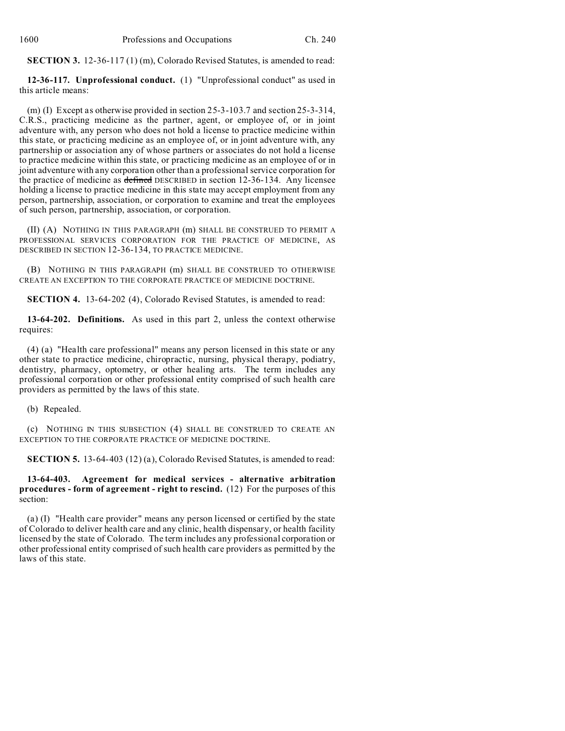**SECTION 3.** 12-36-117 (1) (m), Colorado Revised Statutes, is amended to read:

**12-36-117. Unprofessional conduct.** (1) "Unprofessional conduct" as used in this article means:

(m) (I) Except as otherwise provided in section 25-3-103.7 and section 25-3-314, C.R.S., practicing medicine as the partner, agent, or employee of, or in joint adventure with, any person who does not hold a license to practice medicine within this state, or practicing medicine as an employee of, or in joint adventure with, any partnership or association any of whose partners or associates do not hold a license to practice medicine within this state, or practicing medicine as an employee of or in joint adventure with any corporation other than a professional service corporation for the practice of medicine as defined DESCRIBED in section 12-36-134. Any licensee holding a license to practice medicine in this state may accept employment from any person, partnership, association, or corporation to examine and treat the employees of such person, partnership, association, or corporation.

(II) (A) NOTHING IN THIS PARAGRAPH (m) SHALL BE CONSTRUED TO PERMIT A PROFESSIONAL SERVICES CORPORATION FOR THE PRACTICE OF MEDICINE, AS DESCRIBED IN SECTION 12-36-134, TO PRACTICE MEDICINE.

(B) NOTHING IN THIS PARAGRAPH (m) SHALL BE CONSTRUED TO OTHERWISE CREATE AN EXCEPTION TO THE CORPORATE PRACTICE OF MEDICINE DOCTRINE.

**SECTION 4.** 13-64-202 (4), Colorado Revised Statutes, is amended to read:

**13-64-202. Definitions.** As used in this part 2, unless the context otherwise requires:

(4) (a) "Health care professional" means any person licensed in this state or any other state to practice medicine, chiropractic, nursing, physical therapy, podiatry, dentistry, pharmacy, optometry, or other healing arts. The term includes any professional corporation or other professional entity comprised of such health care providers as permitted by the laws of this state.

(b) Repealed.

(c) NOTHING IN THIS SUBSECTION (4) SHALL BE CONSTRUED TO CREATE AN EXCEPTION TO THE CORPORATE PRACTICE OF MEDICINE DOCTRINE.

**SECTION 5.** 13-64-403 (12) (a), Colorado Revised Statutes, is amended to read:

**13-64-403. Agreement for medical services - alternative arbitration procedures - form of agreement - right to rescind.** (12) For the purposes of this section:

(a) (I) "Health care provider" means any person licensed or certified by the state of Colorado to deliver health care and any clinic, health dispensary, or health facility licensed by the state of Colorado. The term includes any professional corporation or other professional entity comprised of such health care providers as permitted by the laws of this state.